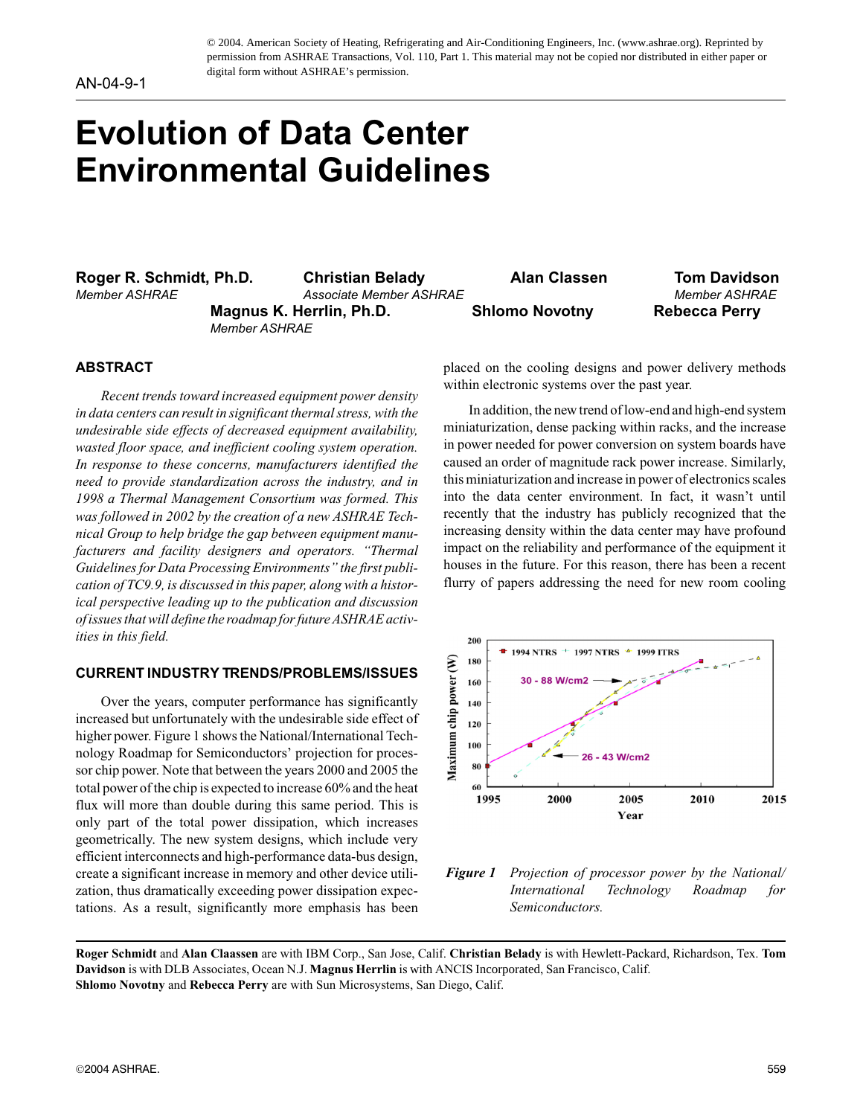© 2004. American Society of Heating, Refrigerating and Air-Conditioning Engineers, Inc. (www.ashrae.org). Reprinted by permission from ASHRAE Transactions, Vol. 110, Part 1. This material may not be copied nor distributed in either paper or digital form without ASHRAE's permission.

# **Evolution of Data Center Environmental Guidelines**

**Roger R. Schmidt, Ph.D. Christian Belady Alan Classen Tom Davidson** 

*Member ASHRAE Associate Member ASHRAE Member ASHRAE* **Magnus K. Herrlin, Ph.D. Shlomo Novotny Rebecca Perry** *Member ASHRAE*

#### **ABSTRACT**

*Recent trends toward increased equipment power density in data centers can result in significant thermal stress, with the undesirable side effects of decreased equipment availability, wasted floor space, and inefficient cooling system operation. In response to these concerns, manufacturers identified the need to provide standardization across the industry, and in 1998 a Thermal Management Consortium was formed. This was followed in 2002 by the creation of a new ASHRAE Technical Group to help bridge the gap between equipment manufacturers and facility designers and operators. "Thermal Guidelines for Data Processing Environments" the first publication of TC9.9, is discussed in this paper, along with a historical perspective leading up to the publication and discussion of issues that will define the roadmap for future ASHRAE activities in this field.*

# **CURRENT INDUSTRY TRENDS/PROBLEMS/ISSUES**

Over the years, computer performance has significantly increased but unfortunately with the undesirable side effect of higher power. Figure 1 shows the National/International Technology Roadmap for Semiconductors' projection for processor chip power. Note that between the years 2000 and 2005 the total power of the chip is expected to increase 60% and the heat flux will more than double during this same period. This is only part of the total power dissipation, which increases geometrically. The new system designs, which include very efficient interconnects and high-performance data-bus design, create a significant increase in memory and other device utilization, thus dramatically exceeding power dissipation expectations. As a result, significantly more emphasis has been placed on the cooling designs and power delivery methods within electronic systems over the past year.

In addition, the new trend of low-end and high-end system miniaturization, dense packing within racks, and the increase in power needed for power conversion on system boards have caused an order of magnitude rack power increase. Similarly, this miniaturization and increase in power of electronics scales into the data center environment. In fact, it wasn't until recently that the industry has publicly recognized that the increasing density within the data center may have profound impact on the reliability and performance of the equipment it houses in the future. For this reason, there has been a recent flurry of papers addressing the need for new room cooling



*Figure 1 Projection of processor power by the National/ International Technology Roadmap for Semiconductors.*

**Roger Schmidt** and **Alan Claassen** are with IBM Corp., San Jose, Calif. **Christian Belady** is with Hewlett-Packard, Richardson, Tex. **Tom Davidson** is with DLB Associates, Ocean N.J. **Magnus Herrlin** is with ANCIS Incorporated, San Francisco, Calif. **Shlomo Novotny** and **Rebecca Perry** are with Sun Microsystems, San Diego, Calif.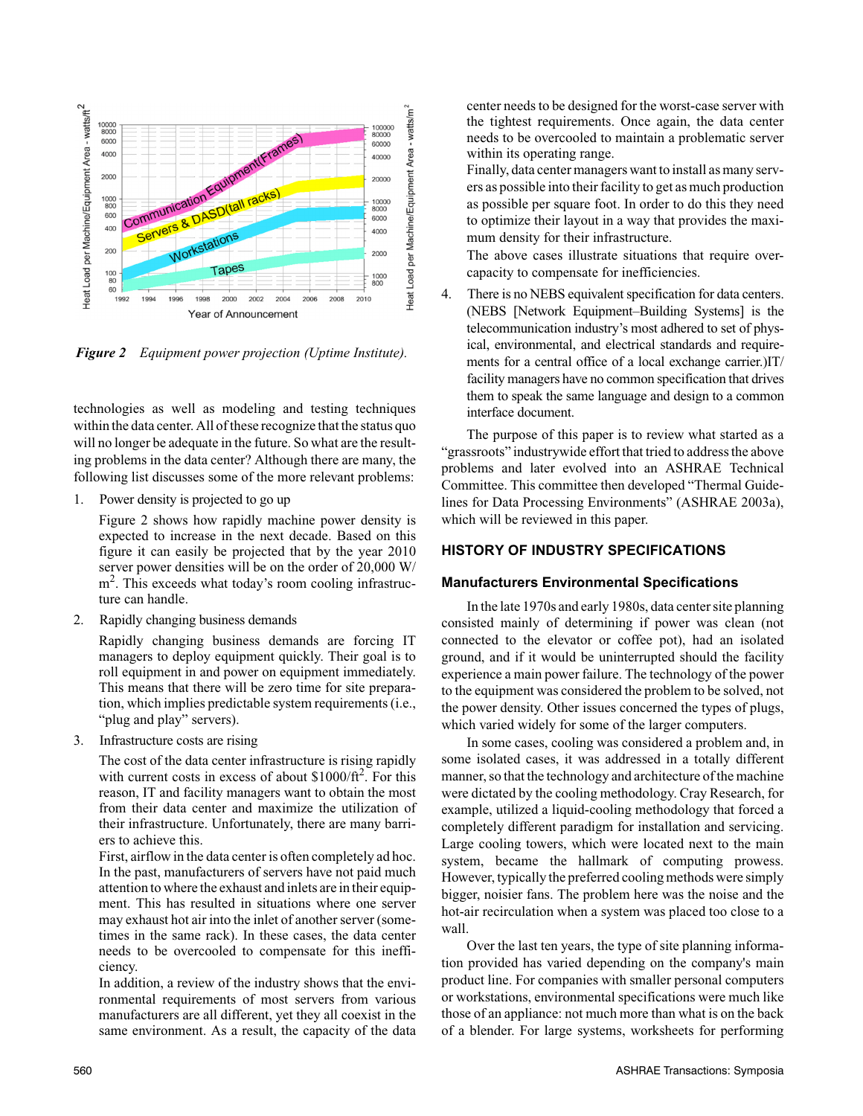

*Figure 2 Equipment power projection (Uptime Institute).*

technologies as well as modeling and testing techniques within the data center. All of these recognize that the status quo will no longer be adequate in the future. So what are the resulting problems in the data center? Although there are many, the following list discusses some of the more relevant problems:

1. Power density is projected to go up

Figure 2 shows how rapidly machine power density is expected to increase in the next decade. Based on this figure it can easily be projected that by the year 2010 server power densities will be on the order of 20,000 W/ m<sup>2</sup>. This exceeds what today's room cooling infrastructure can handle.

2. Rapidly changing business demands

Rapidly changing business demands are forcing IT managers to deploy equipment quickly. Their goal is to roll equipment in and power on equipment immediately. This means that there will be zero time for site preparation, which implies predictable system requirements (i.e., "plug and play" servers).

3. Infrastructure costs are rising

The cost of the data center infrastructure is rising rapidly with current costs in excess of about  $$1000/ft^2$ . For this reason, IT and facility managers want to obtain the most from their data center and maximize the utilization of their infrastructure. Unfortunately, there are many barriers to achieve this.

First, airflow in the data center is often completely ad hoc. In the past, manufacturers of servers have not paid much attention to where the exhaust and inlets are in their equipment. This has resulted in situations where one server may exhaust hot air into the inlet of another server (sometimes in the same rack). In these cases, the data center needs to be overcooled to compensate for this inefficiency.

In addition, a review of the industry shows that the environmental requirements of most servers from various manufacturers are all different, yet they all coexist in the same environment. As a result, the capacity of the data center needs to be designed for the worst-case server with the tightest requirements. Once again, the data center needs to be overcooled to maintain a problematic server within its operating range.

Finally, data center managers want to install as many servers as possible into their facility to get as much production as possible per square foot. In order to do this they need to optimize their layout in a way that provides the maximum density for their infrastructure.

The above cases illustrate situations that require overcapacity to compensate for inefficiencies.

4. There is no NEBS equivalent specification for data centers. (NEBS [Network Equipment–Building Systems] is the telecommunication industry's most adhered to set of physical, environmental, and electrical standards and requirements for a central office of a local exchange carrier.)IT/ facility managers have no common specification that drives them to speak the same language and design to a common interface document.

The purpose of this paper is to review what started as a "grassroots" industrywide effort that tried to address the above problems and later evolved into an ASHRAE Technical Committee. This committee then developed "Thermal Guidelines for Data Processing Environments" (ASHRAE 2003a), which will be reviewed in this paper.

# **HISTORY OF INDUSTRY SPECIFICATIONS**

#### **Manufacturers Environmental Specifications**

In the late 1970s and early 1980s, data center site planning consisted mainly of determining if power was clean (not connected to the elevator or coffee pot), had an isolated ground, and if it would be uninterrupted should the facility experience a main power failure. The technology of the power to the equipment was considered the problem to be solved, not the power density. Other issues concerned the types of plugs, which varied widely for some of the larger computers.

In some cases, cooling was considered a problem and, in some isolated cases, it was addressed in a totally different manner, so that the technology and architecture of the machine were dictated by the cooling methodology. Cray Research, for example, utilized a liquid-cooling methodology that forced a completely different paradigm for installation and servicing. Large cooling towers, which were located next to the main system, became the hallmark of computing prowess. However, typically the preferred cooling methods were simply bigger, noisier fans. The problem here was the noise and the hot-air recirculation when a system was placed too close to a wall.

Over the last ten years, the type of site planning information provided has varied depending on the company's main product line. For companies with smaller personal computers or workstations, environmental specifications were much like those of an appliance: not much more than what is on the back of a blender. For large systems, worksheets for performing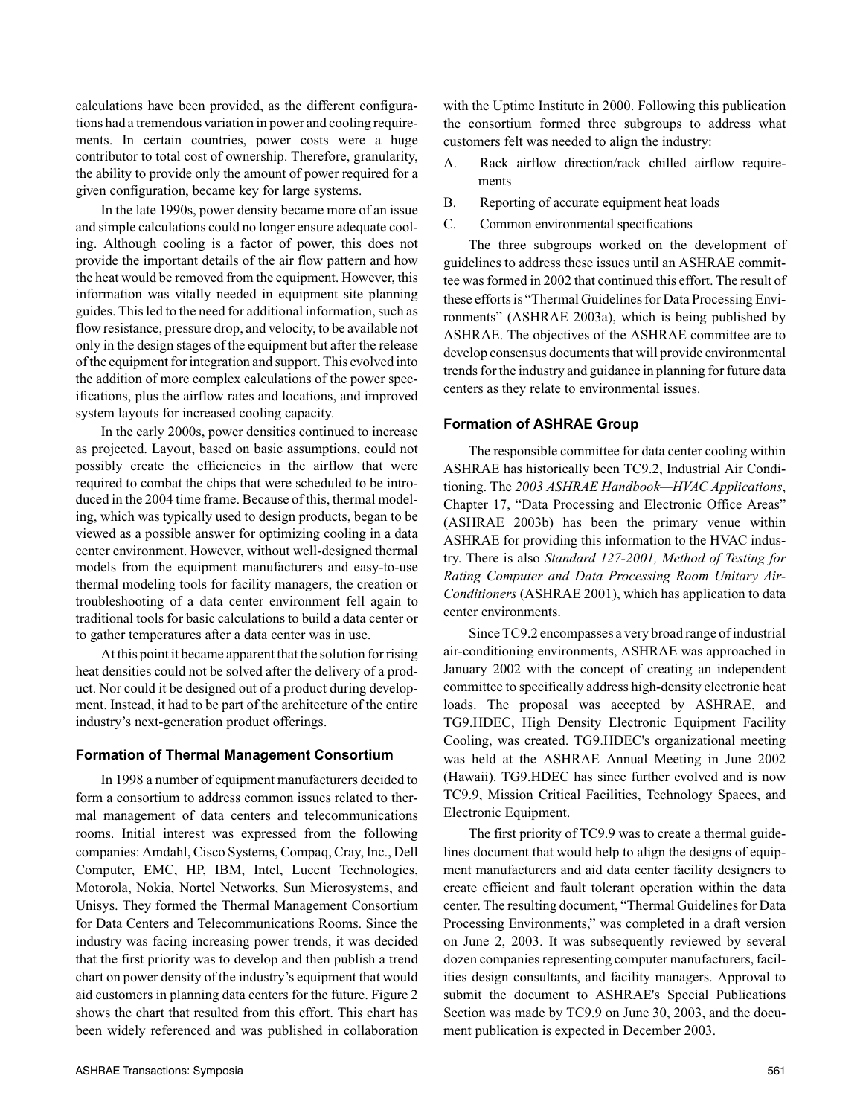calculations have been provided, as the different configurations had a tremendous variation in power and cooling requirements. In certain countries, power costs were a huge contributor to total cost of ownership. Therefore, granularity, the ability to provide only the amount of power required for a given configuration, became key for large systems.

In the late 1990s, power density became more of an issue and simple calculations could no longer ensure adequate cooling. Although cooling is a factor of power, this does not provide the important details of the air flow pattern and how the heat would be removed from the equipment. However, this information was vitally needed in equipment site planning guides. This led to the need for additional information, such as flow resistance, pressure drop, and velocity, to be available not only in the design stages of the equipment but after the release of the equipment for integration and support. This evolved into the addition of more complex calculations of the power specifications, plus the airflow rates and locations, and improved system layouts for increased cooling capacity.

In the early 2000s, power densities continued to increase as projected. Layout, based on basic assumptions, could not possibly create the efficiencies in the airflow that were required to combat the chips that were scheduled to be introduced in the 2004 time frame. Because of this, thermal modeling, which was typically used to design products, began to be viewed as a possible answer for optimizing cooling in a data center environment. However, without well-designed thermal models from the equipment manufacturers and easy-to-use thermal modeling tools for facility managers, the creation or troubleshooting of a data center environment fell again to traditional tools for basic calculations to build a data center or to gather temperatures after a data center was in use.

At this point it became apparent that the solution for rising heat densities could not be solved after the delivery of a product. Nor could it be designed out of a product during development. Instead, it had to be part of the architecture of the entire industry's next-generation product offerings.

#### **Formation of Thermal Management Consortium**

In 1998 a number of equipment manufacturers decided to form a consortium to address common issues related to thermal management of data centers and telecommunications rooms. Initial interest was expressed from the following companies: Amdahl, Cisco Systems, Compaq, Cray, Inc., Dell Computer, EMC, HP, IBM, Intel, Lucent Technologies, Motorola, Nokia, Nortel Networks, Sun Microsystems, and Unisys. They formed the Thermal Management Consortium for Data Centers and Telecommunications Rooms. Since the industry was facing increasing power trends, it was decided that the first priority was to develop and then publish a trend chart on power density of the industry's equipment that would aid customers in planning data centers for the future. Figure 2 shows the chart that resulted from this effort. This chart has been widely referenced and was published in collaboration with the Uptime Institute in 2000. Following this publication the consortium formed three subgroups to address what customers felt was needed to align the industry:

- A. Rack airflow direction/rack chilled airflow requirements
- B. Reporting of accurate equipment heat loads
- C. Common environmental specifications

The three subgroups worked on the development of guidelines to address these issues until an ASHRAE committee was formed in 2002 that continued this effort. The result of these efforts is "Thermal Guidelines for Data Processing Environments" (ASHRAE 2003a), which is being published by ASHRAE. The objectives of the ASHRAE committee are to develop consensus documents that will provide environmental trends for the industry and guidance in planning for future data centers as they relate to environmental issues.

#### **Formation of ASHRAE Group**

The responsible committee for data center cooling within ASHRAE has historically been TC9.2, Industrial Air Conditioning. The *2003 ASHRAE Handbook—HVAC Applications*, Chapter 17, "Data Processing and Electronic Office Areas" (ASHRAE 2003b) has been the primary venue within ASHRAE for providing this information to the HVAC industry. There is also *Standard 127-2001, Method of Testing for Rating Computer and Data Processing Room Unitary Air-Conditioners* (ASHRAE 2001), which has application to data center environments.

Since TC9.2 encompasses a very broad range of industrial air-conditioning environments, ASHRAE was approached in January 2002 with the concept of creating an independent committee to specifically address high-density electronic heat loads. The proposal was accepted by ASHRAE, and TG9.HDEC, High Density Electronic Equipment Facility Cooling, was created. TG9.HDEC's organizational meeting was held at the ASHRAE Annual Meeting in June 2002 (Hawaii). TG9.HDEC has since further evolved and is now TC9.9, Mission Critical Facilities, Technology Spaces, and Electronic Equipment.

The first priority of TC9.9 was to create a thermal guidelines document that would help to align the designs of equipment manufacturers and aid data center facility designers to create efficient and fault tolerant operation within the data center. The resulting document, "Thermal Guidelines for Data Processing Environments," was completed in a draft version on June 2, 2003. It was subsequently reviewed by several dozen companies representing computer manufacturers, facilities design consultants, and facility managers. Approval to submit the document to ASHRAE's Special Publications Section was made by TC9.9 on June 30, 2003, and the document publication is expected in December 2003.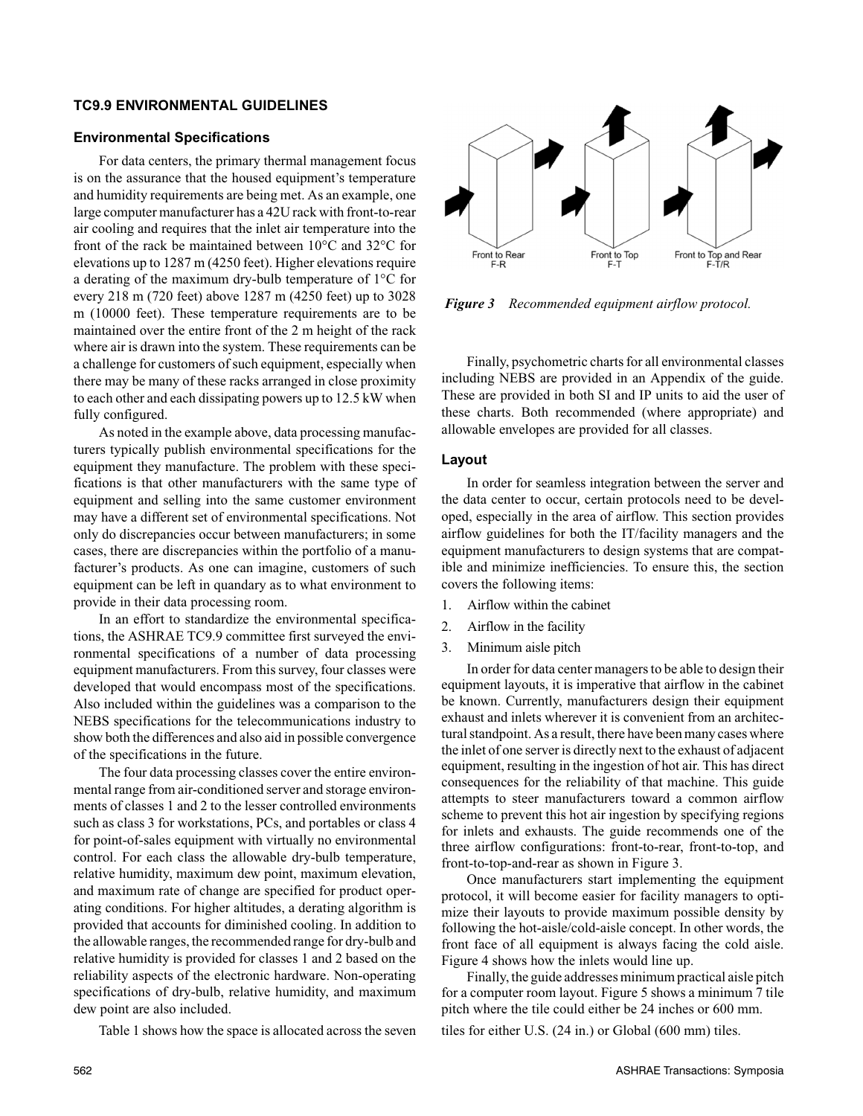#### **TC9.9 ENVIRONMENTAL GUIDELINES**

#### **Environmental Specifications**

For data centers, the primary thermal management focus is on the assurance that the housed equipment's temperature and humidity requirements are being met. As an example, one large computer manufacturer has a 42U rack with front-to-rear air cooling and requires that the inlet air temperature into the front of the rack be maintained between 10°C and 32°C for elevations up to 1287 m (4250 feet). Higher elevations require a derating of the maximum dry-bulb temperature of 1°C for every 218 m (720 feet) above 1287 m (4250 feet) up to 3028 m (10000 feet). These temperature requirements are to be maintained over the entire front of the 2 m height of the rack where air is drawn into the system. These requirements can be a challenge for customers of such equipment, especially when there may be many of these racks arranged in close proximity to each other and each dissipating powers up to 12.5 kW when fully configured.

As noted in the example above, data processing manufacturers typically publish environmental specifications for the equipment they manufacture. The problem with these specifications is that other manufacturers with the same type of equipment and selling into the same customer environment may have a different set of environmental specifications. Not only do discrepancies occur between manufacturers; in some cases, there are discrepancies within the portfolio of a manufacturer's products. As one can imagine, customers of such equipment can be left in quandary as to what environment to provide in their data processing room.

In an effort to standardize the environmental specifications, the ASHRAE TC9.9 committee first surveyed the environmental specifications of a number of data processing equipment manufacturers. From this survey, four classes were developed that would encompass most of the specifications. Also included within the guidelines was a comparison to the NEBS specifications for the telecommunications industry to show both the differences and also aid in possible convergence of the specifications in the future.

The four data processing classes cover the entire environmental range from air-conditioned server and storage environments of classes 1 and 2 to the lesser controlled environments such as class 3 for workstations, PCs, and portables or class 4 for point-of-sales equipment with virtually no environmental control. For each class the allowable dry-bulb temperature, relative humidity, maximum dew point, maximum elevation, and maximum rate of change are specified for product operating conditions. For higher altitudes, a derating algorithm is provided that accounts for diminished cooling. In addition to the allowable ranges, the recommended range for dry-bulb and relative humidity is provided for classes 1 and 2 based on the reliability aspects of the electronic hardware. Non-operating specifications of dry-bulb, relative humidity, and maximum dew point are also included.

Table 1 shows how the space is allocated across the seven tiles for either U.S. (24 in.) or Global (600 mm) tiles.



*Figure 3 Recommended equipment airflow protocol.*

Finally, psychometric charts for all environmental classes including NEBS are provided in an Appendix of the guide. These are provided in both SI and IP units to aid the user of these charts. Both recommended (where appropriate) and allowable envelopes are provided for all classes.

# **Layout**

In order for seamless integration between the server and the data center to occur, certain protocols need to be developed, especially in the area of airflow. This section provides airflow guidelines for both the IT/facility managers and the equipment manufacturers to design systems that are compatible and minimize inefficiencies. To ensure this, the section covers the following items:

- 1. Airflow within the cabinet
- 2. Airflow in the facility
- 3. Minimum aisle pitch

In order for data center managers to be able to design their equipment layouts, it is imperative that airflow in the cabinet be known. Currently, manufacturers design their equipment exhaust and inlets wherever it is convenient from an architectural standpoint. As a result, there have been many cases where the inlet of one server is directly next to the exhaust of adjacent equipment, resulting in the ingestion of hot air. This has direct consequences for the reliability of that machine. This guide attempts to steer manufacturers toward a common airflow scheme to prevent this hot air ingestion by specifying regions for inlets and exhausts. The guide recommends one of the three airflow configurations: front-to-rear, front-to-top, and front-to-top-and-rear as shown in Figure 3.

Once manufacturers start implementing the equipment protocol, it will become easier for facility managers to optimize their layouts to provide maximum possible density by following the hot-aisle/cold-aisle concept. In other words, the front face of all equipment is always facing the cold aisle. Figure 4 shows how the inlets would line up.

Finally, the guide addresses minimum practical aisle pitch for a computer room layout. Figure 5 shows a minimum 7 tile pitch where the tile could either be 24 inches or 600 mm.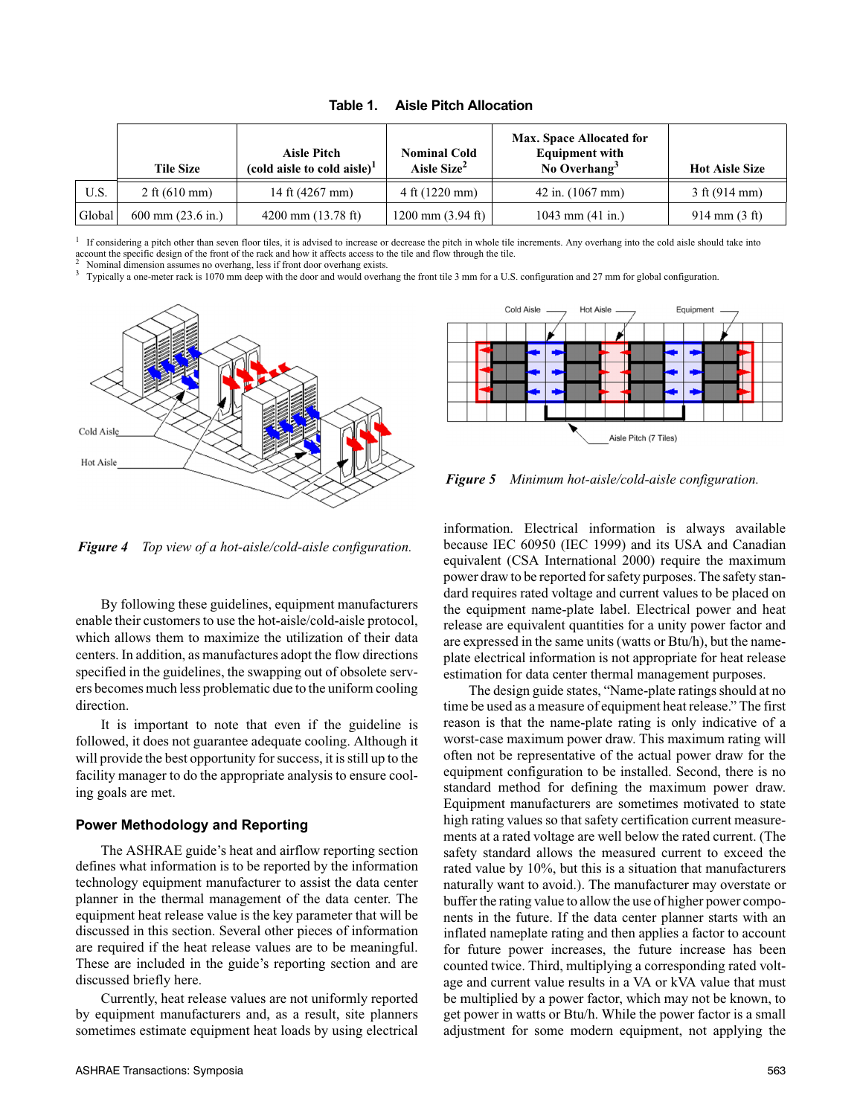|        | <b>Tile Size</b>            | <b>Aisle Pitch</b><br>(cold aisle to cold aisle) <sup>1</sup> | <b>Nominal Cold</b><br>Aisle Size <sup>2</sup> | Max. Space Allocated for<br><b>Equipment with</b><br>No Overhang $3$ | <b>Hot Aisle Size</b>           |
|--------|-----------------------------|---------------------------------------------------------------|------------------------------------------------|----------------------------------------------------------------------|---------------------------------|
| U.S.   | 2 ft $(610 \text{ mm})$     | 14 ft (4267 mm)                                               | $4 \text{ ft} (1220 \text{ mm})$               | $42$ in. $(1067$ mm)                                                 | $3 \text{ ft} (914 \text{ mm})$ |
| Global | $600 \text{ mm}$ (23.6 in.) | $4200$ mm $(13.78$ ft)                                        | 1200 mm $(3.94 \text{ ft})$                    | 1043 mm $(41$ in.)                                                   | $914 \text{ mm} (3 \text{ ft})$ |

**Table 1. Aisle Pitch Allocation**

<sup>1</sup> If considering a pitch other than seven floor tiles, it is advised to increase or decrease the pitch in whole tile increments. Any overhang into the cold aisle should take into account the specific design of the finen

Nominal dimension assumes no overhang, less if front door overhang exists.<br>Typically a one-meter rack is 1070 mm deep with the door and would overhang the front tile 3 mm for a U.S. configuration and 27 mm for global confi





*Figure 5 Minimum hot-aisle/cold-aisle configuration.*

*Figure 4 Top view of a hot-aisle/cold-aisle configuration.*

By following these guidelines, equipment manufacturers enable their customers to use the hot-aisle/cold-aisle protocol, which allows them to maximize the utilization of their data centers. In addition, as manufactures adopt the flow directions specified in the guidelines, the swapping out of obsolete servers becomes much less problematic due to the uniform cooling direction.

It is important to note that even if the guideline is followed, it does not guarantee adequate cooling. Although it will provide the best opportunity for success, it is still up to the facility manager to do the appropriate analysis to ensure cooling goals are met.

# **Power Methodology and Reporting**

The ASHRAE guide's heat and airflow reporting section defines what information is to be reported by the information technology equipment manufacturer to assist the data center planner in the thermal management of the data center. The equipment heat release value is the key parameter that will be discussed in this section. Several other pieces of information are required if the heat release values are to be meaningful. These are included in the guide's reporting section and are discussed briefly here.

Currently, heat release values are not uniformly reported by equipment manufacturers and, as a result, site planners sometimes estimate equipment heat loads by using electrical information. Electrical information is always available because IEC 60950 (IEC 1999) and its USA and Canadian equivalent (CSA International 2000) require the maximum power draw to be reported for safety purposes. The safety standard requires rated voltage and current values to be placed on the equipment name-plate label. Electrical power and heat release are equivalent quantities for a unity power factor and are expressed in the same units (watts or Btu/h), but the nameplate electrical information is not appropriate for heat release estimation for data center thermal management purposes.

The design guide states, "Name-plate ratings should at no time be used as a measure of equipment heat release." The first reason is that the name-plate rating is only indicative of a worst-case maximum power draw. This maximum rating will often not be representative of the actual power draw for the equipment configuration to be installed. Second, there is no standard method for defining the maximum power draw. Equipment manufacturers are sometimes motivated to state high rating values so that safety certification current measurements at a rated voltage are well below the rated current. (The safety standard allows the measured current to exceed the rated value by 10%, but this is a situation that manufacturers naturally want to avoid.). The manufacturer may overstate or buffer the rating value to allow the use of higher power components in the future. If the data center planner starts with an inflated nameplate rating and then applies a factor to account for future power increases, the future increase has been counted twice. Third, multiplying a corresponding rated voltage and current value results in a VA or kVA value that must be multiplied by a power factor, which may not be known, to get power in watts or Btu/h. While the power factor is a small adjustment for some modern equipment, not applying the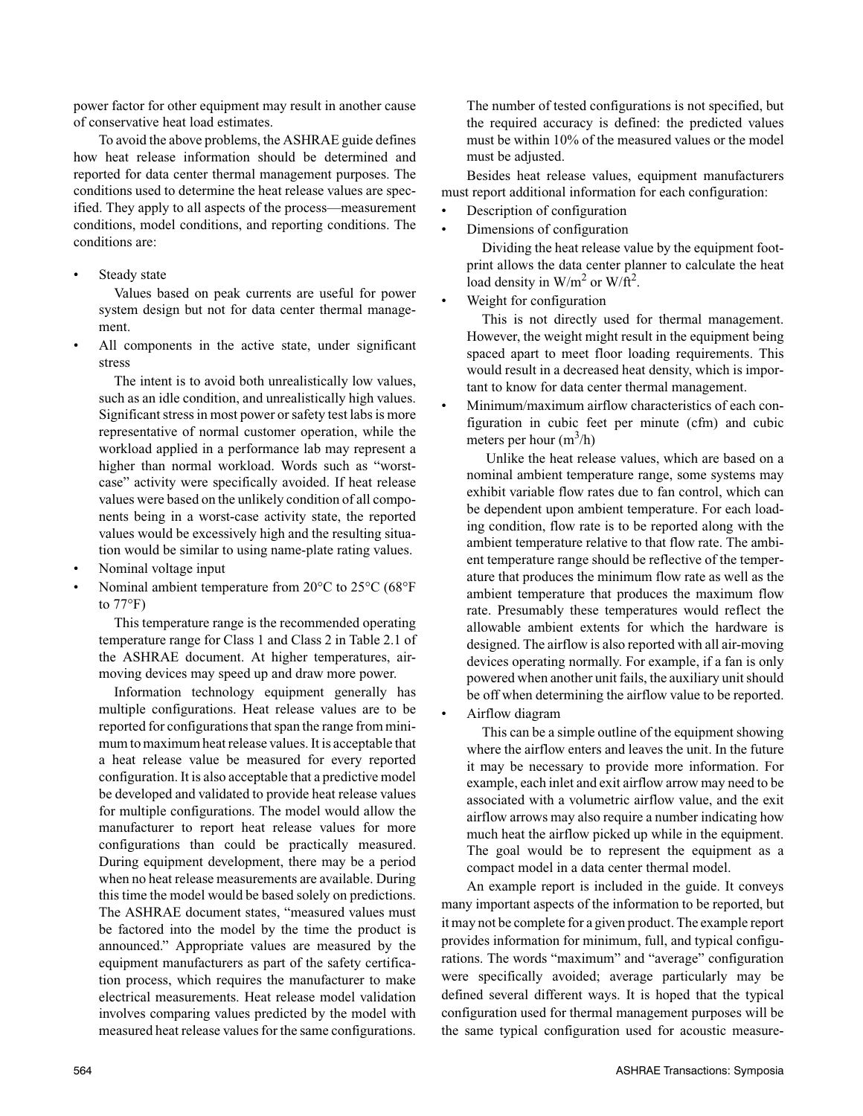power factor for other equipment may result in another cause of conservative heat load estimates.

To avoid the above problems, the ASHRAE guide defines how heat release information should be determined and reported for data center thermal management purposes. The conditions used to determine the heat release values are specified. They apply to all aspects of the process—measurement conditions, model conditions, and reporting conditions. The conditions are:

Steady state

Values based on peak currents are useful for power system design but not for data center thermal management.

All components in the active state, under significant stress

The intent is to avoid both unrealistically low values, such as an idle condition, and unrealistically high values. Significant stress in most power or safety test labs is more representative of normal customer operation, while the workload applied in a performance lab may represent a higher than normal workload. Words such as "worstcase" activity were specifically avoided. If heat release values were based on the unlikely condition of all components being in a worst-case activity state, the reported values would be excessively high and the resulting situation would be similar to using name-plate rating values.

- Nominal voltage input
- Nominal ambient temperature from 20°C to 25°C (68°F to  $77^{\circ}$ F)

This temperature range is the recommended operating temperature range for Class 1 and Class 2 in Table 2.1 of the ASHRAE document. At higher temperatures, airmoving devices may speed up and draw more power.

Information technology equipment generally has multiple configurations. Heat release values are to be reported for configurations that span the range from minimum to maximum heat release values. It is acceptable that a heat release value be measured for every reported configuration. It is also acceptable that a predictive model be developed and validated to provide heat release values for multiple configurations. The model would allow the manufacturer to report heat release values for more configurations than could be practically measured. During equipment development, there may be a period when no heat release measurements are available. During this time the model would be based solely on predictions. The ASHRAE document states, "measured values must be factored into the model by the time the product is announced." Appropriate values are measured by the equipment manufacturers as part of the safety certification process, which requires the manufacturer to make electrical measurements. Heat release model validation involves comparing values predicted by the model with measured heat release values for the same configurations.

The number of tested configurations is not specified, but the required accuracy is defined: the predicted values must be within 10% of the measured values or the model must be adjusted.

Besides heat release values, equipment manufacturers must report additional information for each configuration:

- Description of configuration
- Dimensions of configuration

Dividing the heat release value by the equipment footprint allows the data center planner to calculate the heat load density in  $W/m^2$  or  $W/ft^2$ .

Weight for configuration

This is not directly used for thermal management. However, the weight might result in the equipment being spaced apart to meet floor loading requirements. This would result in a decreased heat density, which is important to know for data center thermal management.

• Minimum/maximum airflow characteristics of each configuration in cubic feet per minute (cfm) and cubic meters per hour  $(m^3/h)$ 

 Unlike the heat release values, which are based on a nominal ambient temperature range, some systems may exhibit variable flow rates due to fan control, which can be dependent upon ambient temperature. For each loading condition, flow rate is to be reported along with the ambient temperature relative to that flow rate. The ambient temperature range should be reflective of the temperature that produces the minimum flow rate as well as the ambient temperature that produces the maximum flow rate. Presumably these temperatures would reflect the allowable ambient extents for which the hardware is designed. The airflow is also reported with all air-moving devices operating normally. For example, if a fan is only powered when another unit fails, the auxiliary unit should be off when determining the airflow value to be reported.

• Airflow diagram

This can be a simple outline of the equipment showing where the airflow enters and leaves the unit. In the future it may be necessary to provide more information. For example, each inlet and exit airflow arrow may need to be associated with a volumetric airflow value, and the exit airflow arrows may also require a number indicating how much heat the airflow picked up while in the equipment. The goal would be to represent the equipment as a compact model in a data center thermal model.

An example report is included in the guide. It conveys many important aspects of the information to be reported, but it may not be complete for a given product. The example report provides information for minimum, full, and typical configurations. The words "maximum" and "average" configuration were specifically avoided; average particularly may be defined several different ways. It is hoped that the typical configuration used for thermal management purposes will be the same typical configuration used for acoustic measure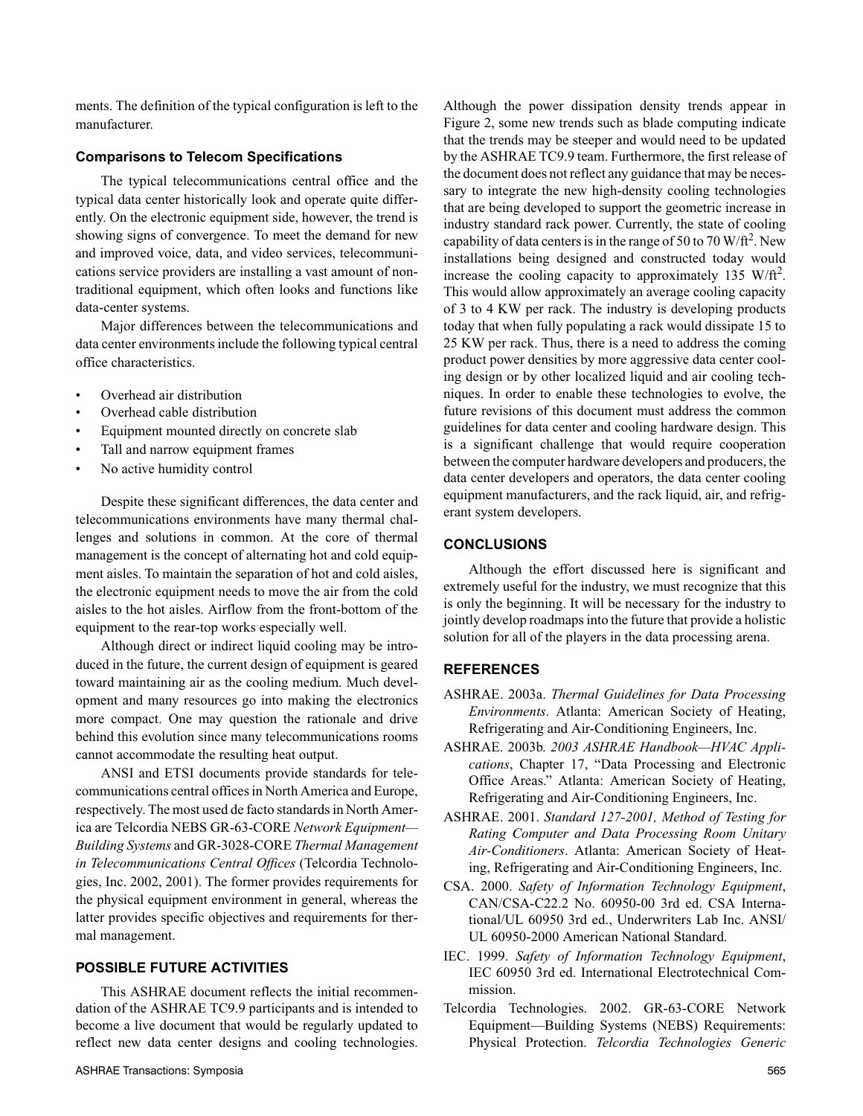ments. The definition of the typical configuration is left to the manufacturer.

#### **Comparisons to Telecom Specifications**

The typical telecommunications central office and the typical data center historically look and operate quite differently. On the electronic equipment side, however, the trend is showing signs of convergence. To meet the demand for new and improved voice, data, and video services, telecommunications service providers are installing a vast amount of nontraditional equipment, which often looks and functions like data-center systems.

Major differences between the telecommunications and data center environments include the following typical central office characteristics.

- Overhead air distribution
- Overhead cable distribution
- Equipment mounted directly on concrete slab
- Tall and narrow equipment frames
- No active humidity control

Despite these significant differences, the data center and telecommunications environments have many thermal challenges and solutions in common. At the core of thermal management is the concept of alternating hot and cold equipment aisles. To maintain the separation of hot and cold aisles, the electronic equipment needs to move the air from the cold aisles to the hot aisles. Airflow from the front-bottom of the equipment to the rear-top works especially well.

Although direct or indirect liquid cooling may be introduced in the future, the current design of equipment is geared toward maintaining air as the cooling medium. Much development and many resources go into making the electronics more compact. One may question the rationale and drive behind this evolution since many telecommunications rooms cannot accommodate the resulting heat output.

ANSI and ETSI documents provide standards for telecommunications central offices in North America and Europe, respectively. The most used de facto standards in North America are Telcordia NEBS GR-63-CORE *Network Equipment— Building Systems* and GR-3028-CORE *Thermal Management in Telecommunications Central Offices* (Telcordia Technologies, Inc. 2002, 2001). The former provides requirements for the physical equipment environment in general, whereas the latter provides specific objectives and requirements for thermal management.

# **POSSIBLE FUTURE ACTIVITIES**

This ASHRAE document reflects the initial recommendation of the ASHRAE TC9.9 participants and is intended to become a live document that would be regularly updated to reflect new data center designs and cooling technologies. Although the power dissipation density trends appear in Figure 2, some new trends such as blade computing indicate that the trends may be steeper and would need to be updated by the ASHRAE TC9.9 team. Furthermore, the first release of the document does not reflect any guidance that may be necessary to integrate the new high-density cooling technologies that are being developed to support the geometric increase in industry standard rack power. Currently, the state of cooling capability of data centers is in the range of 50 to 70 W/ft<sup>2</sup>. New installations being designed and constructed today would increase the cooling capacity to approximately 135 W/ft<sup>2</sup>. This would allow approximately an average cooling capacity of 3 to 4 KW per rack. The industry is developing products today that when fully populating a rack would dissipate 15 to 25 KW per rack. Thus, there is a need to address the coming product power densities by more aggressive data center cooling design or by other localized liquid and air cooling techniques. In order to enable these technologies to evolve, the future revisions of this document must address the common guidelines for data center and cooling hardware design. This is a significant challenge that would require cooperation between the computer hardware developers and producers, the data center developers and operators, the data center cooling equipment manufacturers, and the rack liquid, air, and refrigerant system developers.

# **CONCLUSIONS**

Although the effort discussed here is significant and extremely useful for the industry, we must recognize that this is only the beginning. It will be necessary for the industry to jointly develop roadmaps into the future that provide a holistic solution for all of the players in the data processing arena.

#### **REFERENCES**

- ASHRAE. 2003a. *Thermal Guidelines for Data Processing Environments*. Atlanta: American Society of Heating, Refrigerating and Air-Conditioning Engineers, Inc.
- ASHRAE. 2003b. *2003 ASHRAE Handbook—HVAC Applications*, Chapter 17, "Data Processing and Electronic Office Areas." Atlanta: American Society of Heating, Refrigerating and Air-Conditioning Engineers, Inc.
- ASHRAE. 2001. *Standard 127-2001, Method of Testing for Rating Computer and Data Processing Room Unitary Air-Conditioners*. Atlanta: American Society of Heating, Refrigerating and Air-Conditioning Engineers, Inc.
- CSA. 2000. *Safety of Information Technology Equipment*, CAN/CSA-C22.2 No. 60950-00 3rd ed. CSA International/UL 60950 3rd ed., Underwriters Lab Inc. ANSI/ UL 60950-2000 American National Standard.
- IEC. 1999. *Safety of Information Technology Equipment*, IEC 60950 3rd ed. International Electrotechnical Commission.
- Telcordia Technologies. 2002. GR-63-CORE Network Equipment—Building Systems (NEBS) Requirements: Physical Protection. *Telcordia Technologies Generic*